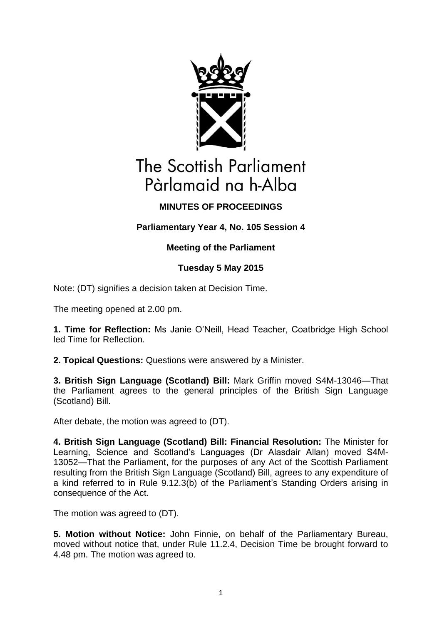

# The Scottish Parliament Pàrlamaid na h-Alba

## **MINUTES OF PROCEEDINGS**

## **Parliamentary Year 4, No. 105 Session 4**

## **Meeting of the Parliament**

## **Tuesday 5 May 2015**

Note: (DT) signifies a decision taken at Decision Time.

The meeting opened at 2.00 pm.

**1. Time for Reflection:** Ms Janie O'Neill, Head Teacher, Coatbridge High School led Time for Reflection.

**2. Topical Questions:** Questions were answered by a Minister.

**3. British Sign Language (Scotland) Bill:** Mark Griffin moved S4M-13046—That the Parliament agrees to the general principles of the British Sign Language (Scotland) Bill.

After debate, the motion was agreed to (DT).

**4. British Sign Language (Scotland) Bill: Financial Resolution:** The Minister for Learning, Science and Scotland's Languages (Dr Alasdair Allan) moved S4M-13052—That the Parliament, for the purposes of any Act of the Scottish Parliament resulting from the British Sign Language (Scotland) Bill, agrees to any expenditure of a kind referred to in Rule 9.12.3(b) of the Parliament's Standing Orders arising in consequence of the Act.

The motion was agreed to (DT).

**5. Motion without Notice:** John Finnie, on behalf of the Parliamentary Bureau, moved without notice that, under Rule 11.2.4, Decision Time be brought forward to 4.48 pm. The motion was agreed to.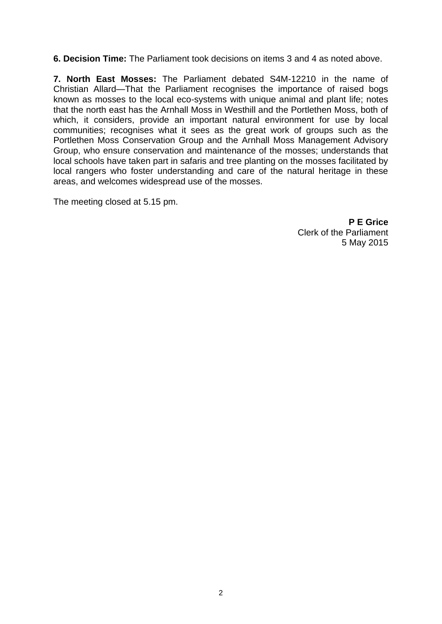**6. Decision Time:** The Parliament took decisions on items 3 and 4 as noted above.

**7. North East Mosses:** The Parliament debated S4M-12210 in the name of Christian Allard—That the Parliament recognises the importance of raised bogs known as mosses to the local eco-systems with unique animal and plant life; notes that the north east has the Arnhall Moss in Westhill and the Portlethen Moss, both of which, it considers, provide an important natural environment for use by local communities; recognises what it sees as the great work of groups such as the Portlethen Moss Conservation Group and the Arnhall Moss Management Advisory Group, who ensure conservation and maintenance of the mosses; understands that local schools have taken part in safaris and tree planting on the mosses facilitated by local rangers who foster understanding and care of the natural heritage in these areas, and welcomes widespread use of the mosses.

The meeting closed at 5.15 pm.

**P E Grice** Clerk of the Parliament 5 May 2015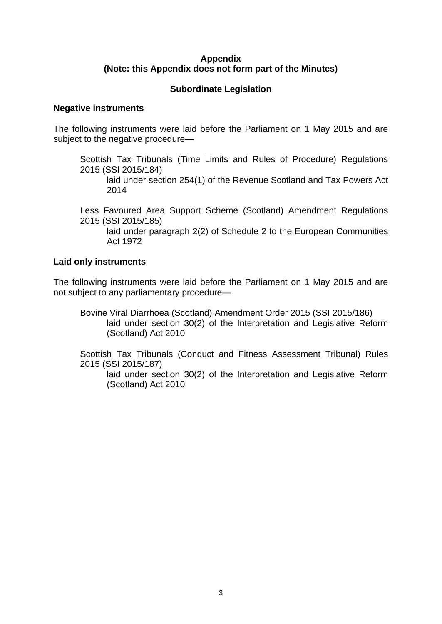#### **Appendix (Note: this Appendix does not form part of the Minutes)**

### **Subordinate Legislation**

#### **Negative instruments**

The following instruments were laid before the Parliament on 1 May 2015 and are subject to the negative procedure—

Scottish Tax Tribunals (Time Limits and Rules of Procedure) Regulations 2015 (SSI 2015/184)

laid under section 254(1) of the Revenue Scotland and Tax Powers Act 2014

Less Favoured Area Support Scheme (Scotland) Amendment Regulations 2015 (SSI 2015/185)

laid under paragraph 2(2) of Schedule 2 to the European Communities Act 1972

#### **Laid only instruments**

The following instruments were laid before the Parliament on 1 May 2015 and are not subject to any parliamentary procedure—

Bovine Viral Diarrhoea (Scotland) Amendment Order 2015 (SSI 2015/186) laid under section 30(2) of the Interpretation and Legislative Reform (Scotland) Act 2010

Scottish Tax Tribunals (Conduct and Fitness Assessment Tribunal) Rules 2015 (SSI 2015/187)

laid under section 30(2) of the Interpretation and Legislative Reform (Scotland) Act 2010